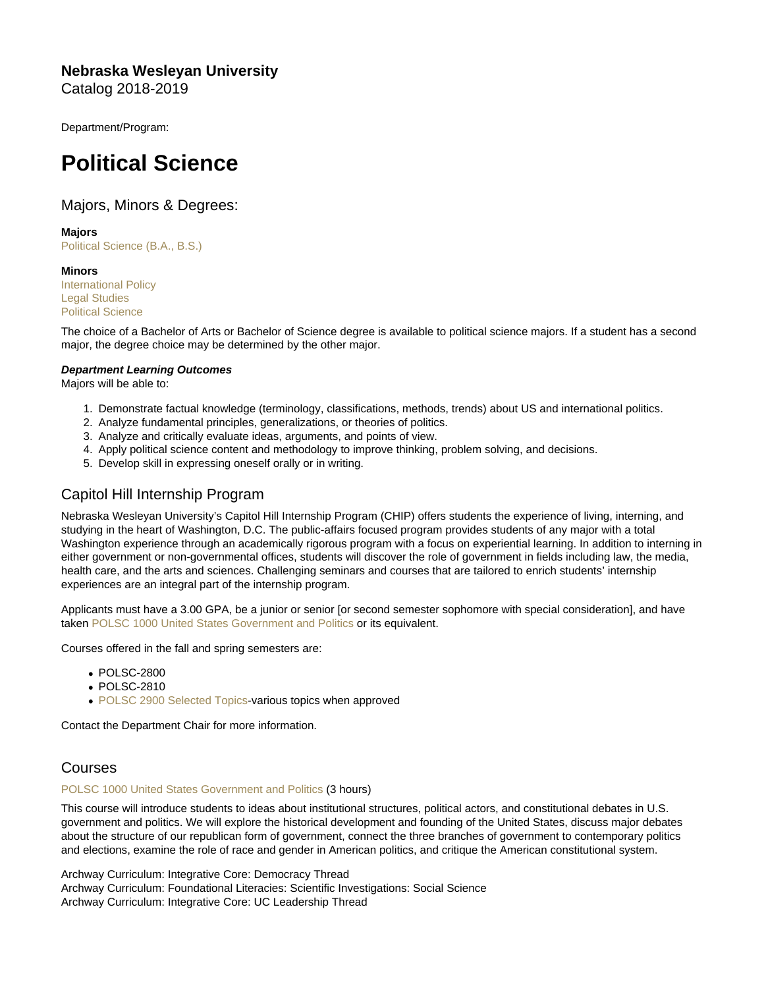Nebraska Wesleyan University Catalog 2018-2019

Department/Program:

# Political Science

# Majors, Minors & Degrees:

Majors

[Political Science \(B.A., B.S.\)](https://catalog.nebrwesleyan.edu/cc/2018-2019/mmd/330992)

**Minors** [International Policy](https://catalog.nebrwesleyan.edu/cc/2018-2019/mmd/330995) [Legal Studies](https://catalog.nebrwesleyan.edu/cc/2018-2019/mmd/331019) [Political Science](https://catalog.nebrwesleyan.edu/cc/2018-2019/mmd/330994)

The choice of a Bachelor of Arts or Bachelor of Science degree is available to political science majors. If a student has a second major, the degree choice may be determined by the other major.

Department Learning Outcomes Majors will be able to:

- 1. Demonstrate factual knowledge (terminology, classifications, methods, trends) about US and international politics.
- 2. Analyze fundamental principles, generalizations, or theories of politics.
- 3. Analyze and critically evaluate ideas, arguments, and points of view.
- 4. Apply political science content and methodology to improve thinking, problem solving, and decisions.
- 5. Develop skill in expressing oneself orally or in writing.

# Capitol Hill Internship Program

Nebraska Wesleyan University's Capitol Hill Internship Program (CHIP) offers students the experience of living, interning, and studying in the heart of Washington, D.C. The public-affairs focused program provides students of any major with a total Washington experience through an academically rigorous program with a focus on experiential learning. In addition to interning in either government or non-governmental offices, students will discover the role of government in fields including law, the media, health care, and the arts and sciences. Challenging seminars and courses that are tailored to enrich students' internship experiences are an integral part of the internship program.

Applicants must have a 3.00 GPA, be a junior or senior [or second semester sophomore with special consideration], and have taken [POLSC 1000 United States Government and Politics](https://catalog.nebrwesleyan.edu/cc/2021-2022/course/360123) or its equivalent.

Courses offered in the fall and spring semesters are:

- POLSC-2800
- POLSC-2810
- [POLSC 2900 Selected Topics-](https://catalog.nebrwesleyan.edu/cc/2021-2022/course/360140)various topics when approved

Contact the Department Chair for more information.

# Courses

## [POLSC 1000 United States Government and Politics](https://catalog.nebrwesleyan.edu/node/327986) (3 hours)

This course will introduce students to ideas about institutional structures, political actors, and constitutional debates in U.S. government and politics. We will explore the historical development and founding of the United States, discuss major debates about the structure of our republican form of government, connect the three branches of government to contemporary politics and elections, examine the role of race and gender in American politics, and critique the American constitutional system.

Archway Curriculum: Integrative Core: Democracy Thread Archway Curriculum: Foundational Literacies: Scientific Investigations: Social Science Archway Curriculum: Integrative Core: UC Leadership Thread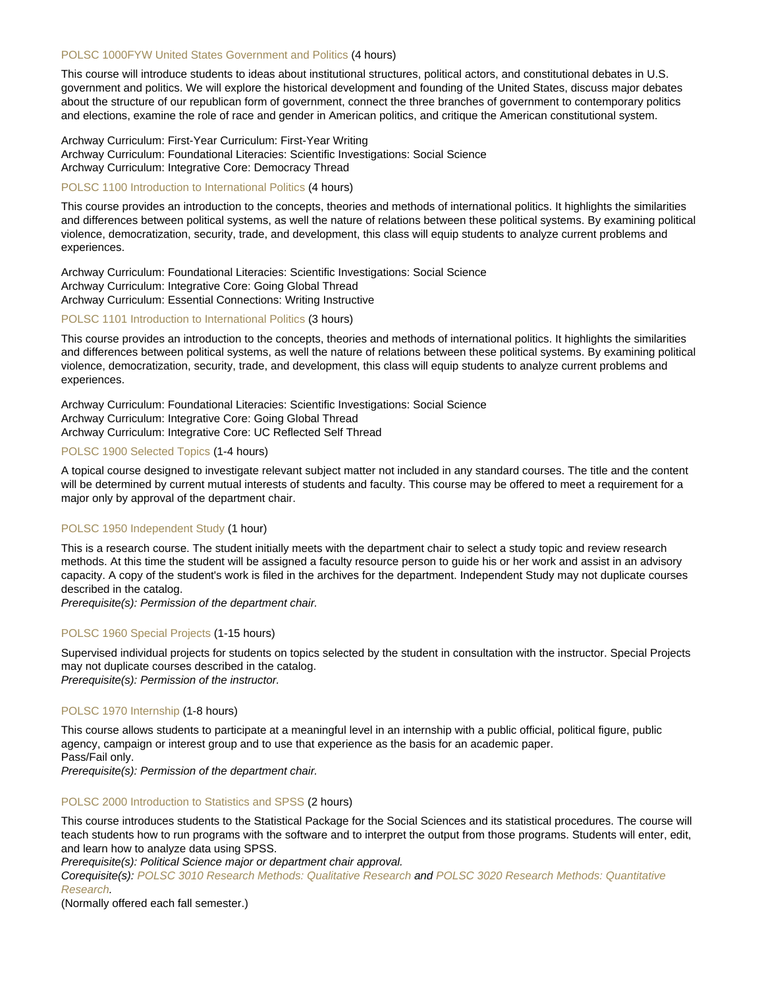## [POLSC 1000FYW United States Government and Politics](https://catalog.nebrwesleyan.edu/node/330747) (4 hours)

This course will introduce students to ideas about institutional structures, political actors, and constitutional debates in U.S. government and politics. We will explore the historical development and founding of the United States, discuss major debates about the structure of our republican form of government, connect the three branches of government to contemporary politics and elections, examine the role of race and gender in American politics, and critique the American constitutional system.

Archway Curriculum: First-Year Curriculum: First-Year Writing Archway Curriculum: Foundational Literacies: Scientific Investigations: Social Science Archway Curriculum: Integrative Core: Democracy Thread

#### [POLSC 1100 Introduction to International Politics](https://catalog.nebrwesleyan.edu/node/330637) (4 hours)

This course provides an introduction to the concepts, theories and methods of international politics. It highlights the similarities and differences between political systems, as well the nature of relations between these political systems. By examining political violence, democratization, security, trade, and development, this class will equip students to analyze current problems and experiences.

Archway Curriculum: Foundational Literacies: Scientific Investigations: Social Science Archway Curriculum: Integrative Core: Going Global Thread Archway Curriculum: Essential Connections: Writing Instructive

#### [POLSC 1101 Introduction to International Politics](https://catalog.nebrwesleyan.edu/node/330804) (3 hours)

This course provides an introduction to the concepts, theories and methods of international politics. It highlights the similarities and differences between political systems, as well the nature of relations between these political systems. By examining political violence, democratization, security, trade, and development, this class will equip students to analyze current problems and experiences.

Archway Curriculum: Foundational Literacies: Scientific Investigations: Social Science Archway Curriculum: Integrative Core: Going Global Thread Archway Curriculum: Integrative Core: UC Reflected Self Thread

### [POLSC 1900 Selected Topics](https://catalog.nebrwesleyan.edu/node/329461) (1-4 hours)

A topical course designed to investigate relevant subject matter not included in any standard courses. The title and the content will be determined by current mutual interests of students and faculty. This course may be offered to meet a requirement for a major only by approval of the department chair.

## [POLSC 1950 Independent Study](https://catalog.nebrwesleyan.edu/node/329462) (1 hour)

This is a research course. The student initially meets with the department chair to select a study topic and review research methods. At this time the student will be assigned a faculty resource person to guide his or her work and assist in an advisory capacity. A copy of the student's work is filed in the archives for the department. Independent Study may not duplicate courses described in the catalog.

Prerequisite(s): Permission of the department chair.

#### [POLSC 1960 Special Projects](https://catalog.nebrwesleyan.edu/node/329463) (1-15 hours)

Supervised individual projects for students on topics selected by the student in consultation with the instructor. Special Projects may not duplicate courses described in the catalog. Prerequisite(s): Permission of the instructor.

## [POLSC 1970 Internship](https://catalog.nebrwesleyan.edu/node/329464) (1-8 hours)

This course allows students to participate at a meaningful level in an internship with a public official, political figure, public agency, campaign or interest group and to use that experience as the basis for an academic paper. Pass/Fail only.

Prerequisite(s): Permission of the department chair.

#### [POLSC 2000 Introduction to Statistics and SPSS](https://catalog.nebrwesleyan.edu/node/327989) (2 hours)

This course introduces students to the Statistical Package for the Social Sciences and its statistical procedures. The course will teach students how to run programs with the software and to interpret the output from those programs. Students will enter, edit, and learn how to analyze data using SPSS.

Prerequisite(s): Political Science major or department chair approval.

Corequisite(s): [POLSC 3010 Research Methods: Qualitative Research](https://catalog.nebrwesleyan.edu/cc/2021-2022/course/362865) and [POLSC 3020 Research Methods: Quantitative](https://catalog.nebrwesleyan.edu/cc/2021-2022/course/362866) [Research.](https://catalog.nebrwesleyan.edu/cc/2021-2022/course/362866)

(Normally offered each fall semester.)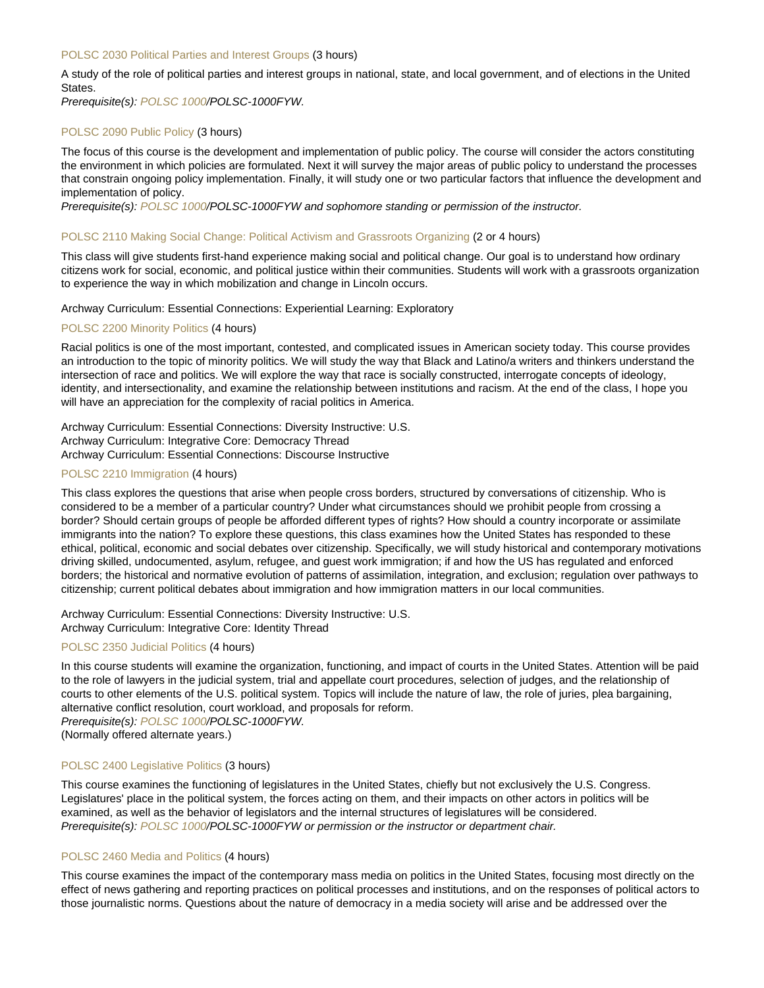#### [POLSC 2030 Political Parties and Interest Groups](https://catalog.nebrwesleyan.edu/node/327990) (3 hours)

A study of the role of political parties and interest groups in national, state, and local government, and of elections in the United States.

Prerequisite(s): [POLSC 1000/](https://catalog.nebrwesleyan.edu/cc/2021-2022/course/360123)POLSC-1000FYW.

#### [POLSC 2090 Public Policy](https://catalog.nebrwesleyan.edu/node/327991) (3 hours)

The focus of this course is the development and implementation of public policy. The course will consider the actors constituting the environment in which policies are formulated. Next it will survey the major areas of public policy to understand the processes that constrain ongoing policy implementation. Finally, it will study one or two particular factors that influence the development and implementation of policy.

Prerequisite(s): [POLSC 1000/](https://catalog.nebrwesleyan.edu/cc/2021-2022/course/360123)POLSC-1000FYW and sophomore standing or permission of the instructor.

#### [POLSC 2110 Making Social Change: Political Activism and Grassroots Organizing](https://catalog.nebrwesleyan.edu/node/330838) (2 or 4 hours)

This class will give students first-hand experience making social and political change. Our goal is to understand how ordinary citizens work for social, economic, and political justice within their communities. Students will work with a grassroots organization to experience the way in which mobilization and change in Lincoln occurs.

#### Archway Curriculum: Essential Connections: Experiential Learning: Exploratory

#### [POLSC 2200 Minority Politics](https://catalog.nebrwesleyan.edu/node/327992) (4 hours)

Racial politics is one of the most important, contested, and complicated issues in American society today. This course provides an introduction to the topic of minority politics. We will study the way that Black and Latino/a writers and thinkers understand the intersection of race and politics. We will explore the way that race is socially constructed, interrogate concepts of ideology, identity, and intersectionality, and examine the relationship between institutions and racism. At the end of the class, I hope you will have an appreciation for the complexity of racial politics in America.

Archway Curriculum: Essential Connections: Diversity Instructive: U.S. Archway Curriculum: Integrative Core: Democracy Thread Archway Curriculum: Essential Connections: Discourse Instructive

#### [POLSC 2210 Immigration](https://catalog.nebrwesleyan.edu/node/336349) (4 hours)

This class explores the questions that arise when people cross borders, structured by conversations of citizenship. Who is considered to be a member of a particular country? Under what circumstances should we prohibit people from crossing a border? Should certain groups of people be afforded different types of rights? How should a country incorporate or assimilate immigrants into the nation? To explore these questions, this class examines how the United States has responded to these ethical, political, economic and social debates over citizenship. Specifically, we will study historical and contemporary motivations driving skilled, undocumented, asylum, refugee, and guest work immigration; if and how the US has regulated and enforced borders; the historical and normative evolution of patterns of assimilation, integration, and exclusion; regulation over pathways to citizenship; current political debates about immigration and how immigration matters in our local communities.

Archway Curriculum: Essential Connections: Diversity Instructive: U.S. Archway Curriculum: Integrative Core: Identity Thread

# [POLSC 2350 Judicial Politics](https://catalog.nebrwesleyan.edu/node/327993) (4 hours)

In this course students will examine the organization, functioning, and impact of courts in the United States. Attention will be paid to the role of lawyers in the judicial system, trial and appellate court procedures, selection of judges, and the relationship of courts to other elements of the U.S. political system. Topics will include the nature of law, the role of juries, plea bargaining, alternative conflict resolution, court workload, and proposals for reform.

Prerequisite(s): [POLSC 1000/](https://catalog.nebrwesleyan.edu/cc/2021-2022/course/360123)POLSC-1000FYW.

(Normally offered alternate years.)

## [POLSC 2400 Legislative Politics](https://catalog.nebrwesleyan.edu/node/327994) (3 hours)

This course examines the functioning of legislatures in the United States, chiefly but not exclusively the U.S. Congress. Legislatures' place in the political system, the forces acting on them, and their impacts on other actors in politics will be examined, as well as the behavior of legislators and the internal structures of legislatures will be considered. Prerequisite(s): [POLSC 1000/](https://catalog.nebrwesleyan.edu/cc/2021-2022/course/360123)POLSC-1000FYW or permission or the instructor or department chair.

## [POLSC 2460 Media and Politics](https://catalog.nebrwesleyan.edu/node/327995) (4 hours)

This course examines the impact of the contemporary mass media on politics in the United States, focusing most directly on the effect of news gathering and reporting practices on political processes and institutions, and on the responses of political actors to those journalistic norms. Questions about the nature of democracy in a media society will arise and be addressed over the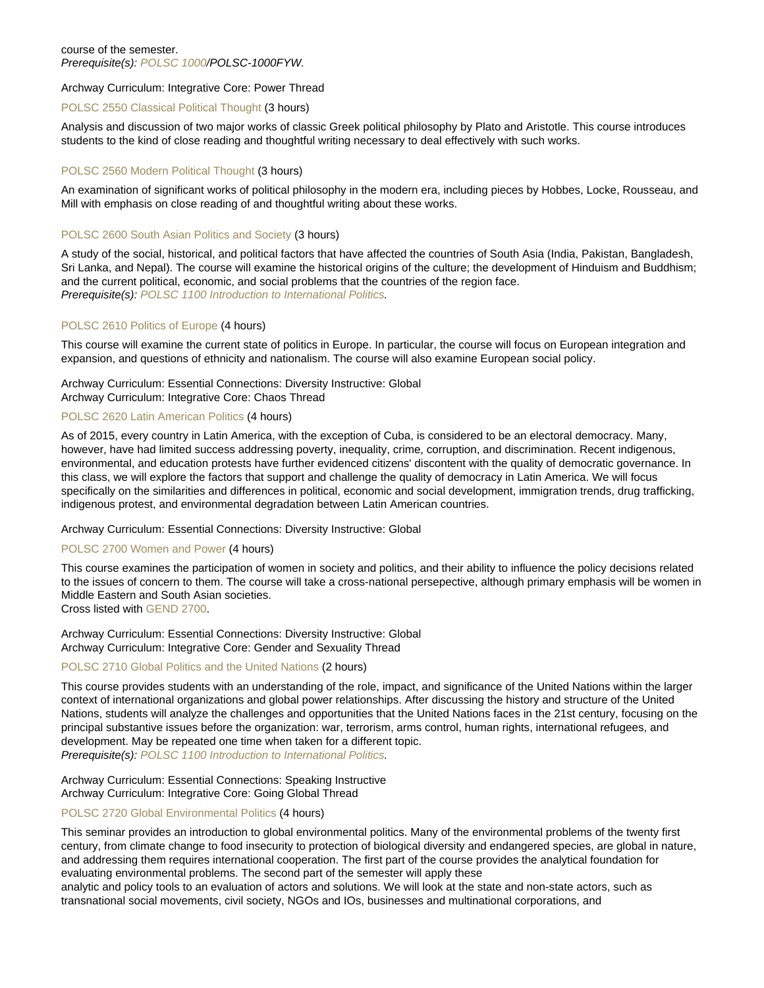## course of the semester. Prerequisite(s): [POLSC 1000/](https://catalog.nebrwesleyan.edu/cc/2021-2022/course/360123)POLSC-1000FYW.

Archway Curriculum: Integrative Core: Power Thread

#### [POLSC 2550 Classical Political Thought](https://catalog.nebrwesleyan.edu/node/327996) (3 hours)

Analysis and discussion of two major works of classic Greek political philosophy by Plato and Aristotle. This course introduces students to the kind of close reading and thoughtful writing necessary to deal effectively with such works.

# [POLSC 2560 Modern Political Thought](https://catalog.nebrwesleyan.edu/node/327997) (3 hours)

An examination of significant works of political philosophy in the modern era, including pieces by Hobbes, Locke, Rousseau, and Mill with emphasis on close reading of and thoughtful writing about these works.

# [POLSC 2600 South Asian Politics and Society](https://catalog.nebrwesleyan.edu/node/327998) (3 hours)

A study of the social, historical, and political factors that have affected the countries of South Asia (India, Pakistan, Bangladesh, Sri Lanka, and Nepal). The course will examine the historical origins of the culture; the development of Hinduism and Buddhism; and the current political, economic, and social problems that the countries of the region face. Prerequisite(s): [POLSC 1100 Introduction to International Politics](https://catalog.nebrwesleyan.edu/cc/2021-2022/course/362767).

# [POLSC 2610 Politics of Europe](https://catalog.nebrwesleyan.edu/node/327999) (4 hours)

This course will examine the current state of politics in Europe. In particular, the course will focus on European integration and expansion, and questions of ethnicity and nationalism. The course will also examine European social policy.

# Archway Curriculum: Essential Connections: Diversity Instructive: Global Archway Curriculum: Integrative Core: Chaos Thread

# [POLSC 2620 Latin American Politics](https://catalog.nebrwesleyan.edu/node/330735) (4 hours)

As of 2015, every country in Latin America, with the exception of Cuba, is considered to be an electoral democracy. Many, however, have had limited success addressing poverty, inequality, crime, corruption, and discrimination. Recent indigenous, environmental, and education protests have further evidenced citizens' discontent with the quality of democratic governance. In this class, we will explore the factors that support and challenge the quality of democracy in Latin America. We will focus specifically on the similarities and differences in political, economic and social development, immigration trends, drug trafficking, indigenous protest, and environmental degradation between Latin American countries.

## Archway Curriculum: Essential Connections: Diversity Instructive: Global

## [POLSC 2700 Women and Power](https://catalog.nebrwesleyan.edu/node/328000) (4 hours)

This course examines the participation of women in society and politics, and their ability to influence the policy decisions related to the issues of concern to them. The course will take a cross-national persepective, although primary emphasis will be women in Middle Eastern and South Asian societies.

Cross listed with [GEND 2700.](https://catalog.nebrwesleyan.edu/cc/2021-2022/course/359905)

Archway Curriculum: Essential Connections: Diversity Instructive: Global Archway Curriculum: Integrative Core: Gender and Sexuality Thread

# [POLSC 2710 Global Politics and the United Nations](https://catalog.nebrwesleyan.edu/node/330785) (2 hours)

This course provides students with an understanding of the role, impact, and significance of the United Nations within the larger context of international organizations and global power relationships. After discussing the history and structure of the United Nations, students will analyze the challenges and opportunities that the United Nations faces in the 21st century, focusing on the principal substantive issues before the organization: war, terrorism, arms control, human rights, international refugees, and development. May be repeated one time when taken for a different topic.

Prerequisite(s): [POLSC 1100 Introduction to International Politics](https://catalog.nebrwesleyan.edu/cc/2021-2022/course/362767).

Archway Curriculum: Essential Connections: Speaking Instructive Archway Curriculum: Integrative Core: Going Global Thread

## [POLSC 2720 Global Environmental Politics](https://catalog.nebrwesleyan.edu/node/330786) (4 hours)

This seminar provides an introduction to global environmental politics. Many of the environmental problems of the twenty first century, from climate change to food insecurity to protection of biological diversity and endangered species, are global in nature, and addressing them requires international cooperation. The first part of the course provides the analytical foundation for evaluating environmental problems. The second part of the semester will apply these

analytic and policy tools to an evaluation of actors and solutions. We will look at the state and non-state actors, such as transnational social movements, civil society, NGOs and IOs, businesses and multinational corporations, and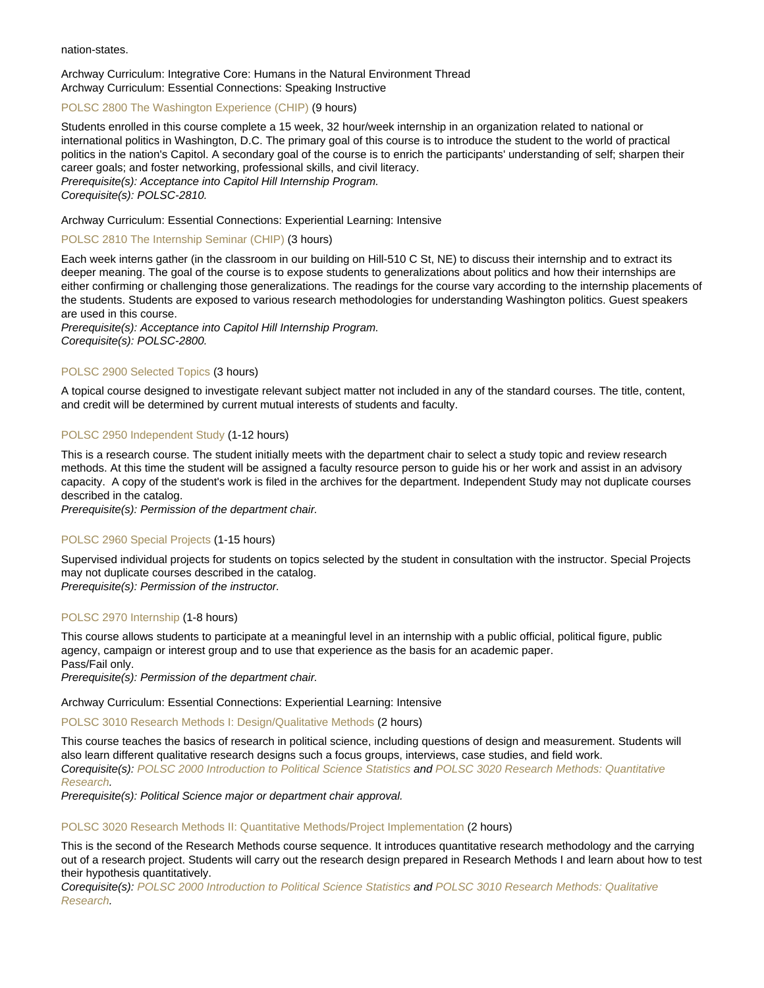#### nation-states.

Archway Curriculum: Integrative Core: Humans in the Natural Environment Thread Archway Curriculum: Essential Connections: Speaking Instructive

#### [POLSC 2800 The Washington Experience \(CHIP\)](https://catalog.nebrwesleyan.edu/node/328001) (9 hours)

Students enrolled in this course complete a 15 week, 32 hour/week internship in an organization related to national or international politics in Washington, D.C. The primary goal of this course is to introduce the student to the world of practical politics in the nation's Capitol. A secondary goal of the course is to enrich the participants' understanding of self; sharpen their career goals; and foster networking, professional skills, and civil literacy. Prerequisite(s): Acceptance into Capitol Hill Internship Program. Corequisite(s): POLSC-2810.

#### Archway Curriculum: Essential Connections: Experiential Learning: Intensive

#### [POLSC 2810 The Internship Seminar \(CHIP\)](https://catalog.nebrwesleyan.edu/node/328002) (3 hours)

Each week interns gather (in the classroom in our building on Hill-510 C St, NE) to discuss their internship and to extract its deeper meaning. The goal of the course is to expose students to generalizations about politics and how their internships are either confirming or challenging those generalizations. The readings for the course vary according to the internship placements of the students. Students are exposed to various research methodologies for understanding Washington politics. Guest speakers are used in this course.

Prerequisite(s): Acceptance into Capitol Hill Internship Program. Corequisite(s): POLSC-2800.

#### [POLSC 2900 Selected Topics](https://catalog.nebrwesleyan.edu/node/328003) (3 hours)

A topical course designed to investigate relevant subject matter not included in any of the standard courses. The title, content, and credit will be determined by current mutual interests of students and faculty.

#### [POLSC 2950 Independent Study](https://catalog.nebrwesleyan.edu/node/328004) (1-12 hours)

This is a research course. The student initially meets with the department chair to select a study topic and review research methods. At this time the student will be assigned a faculty resource person to guide his or her work and assist in an advisory capacity. A copy of the student's work is filed in the archives for the department. Independent Study may not duplicate courses described in the catalog.

Prerequisite(s): Permission of the department chair.

#### [POLSC 2960 Special Projects](https://catalog.nebrwesleyan.edu/node/329465) (1-15 hours)

Supervised individual projects for students on topics selected by the student in consultation with the instructor. Special Projects may not duplicate courses described in the catalog.

Prerequisite(s): Permission of the instructor.

#### [POLSC 2970 Internship](https://catalog.nebrwesleyan.edu/node/328005) (1-8 hours)

This course allows students to participate at a meaningful level in an internship with a public official, political figure, public agency, campaign or interest group and to use that experience as the basis for an academic paper.

Pass/Fail only.

Prerequisite(s): Permission of the department chair.

Archway Curriculum: Essential Connections: Experiential Learning: Intensive

#### [POLSC 3010 Research Methods I: Design/Qualitative Methods](https://catalog.nebrwesleyan.edu/node/330736) (2 hours)

This course teaches the basics of research in political science, including questions of design and measurement. Students will also learn different qualitative research designs such a focus groups, interviews, case studies, and field work. Corequisite(s): [POLSC 2000 Introduction to Political Science Statistics](https://catalog.nebrwesleyan.edu/cc/2021-2022/course/360126) and [POLSC 3020 Research Methods: Quantitative](https://catalog.nebrwesleyan.edu/cc/2021-2022/course/362866) [Research.](https://catalog.nebrwesleyan.edu/cc/2021-2022/course/362866)

Prerequisite(s): Political Science major or department chair approval.

#### [POLSC 3020 Research Methods II: Quantitative Methods/Project Implementation](https://catalog.nebrwesleyan.edu/node/330737) (2 hours)

This is the second of the Research Methods course sequence. It introduces quantitative research methodology and the carrying out of a research project. Students will carry out the research design prepared in Research Methods I and learn about how to test their hypothesis quantitatively.

Corequisite(s): [POLSC 2000 Introduction to Political Science Statistics](https://catalog.nebrwesleyan.edu/cc/2021-2022/course/360126) and [POLSC 3010 Research Methods: Qualitative](https://catalog.nebrwesleyan.edu/cc/2021-2022/course/362865) [Research.](https://catalog.nebrwesleyan.edu/cc/2021-2022/course/362865)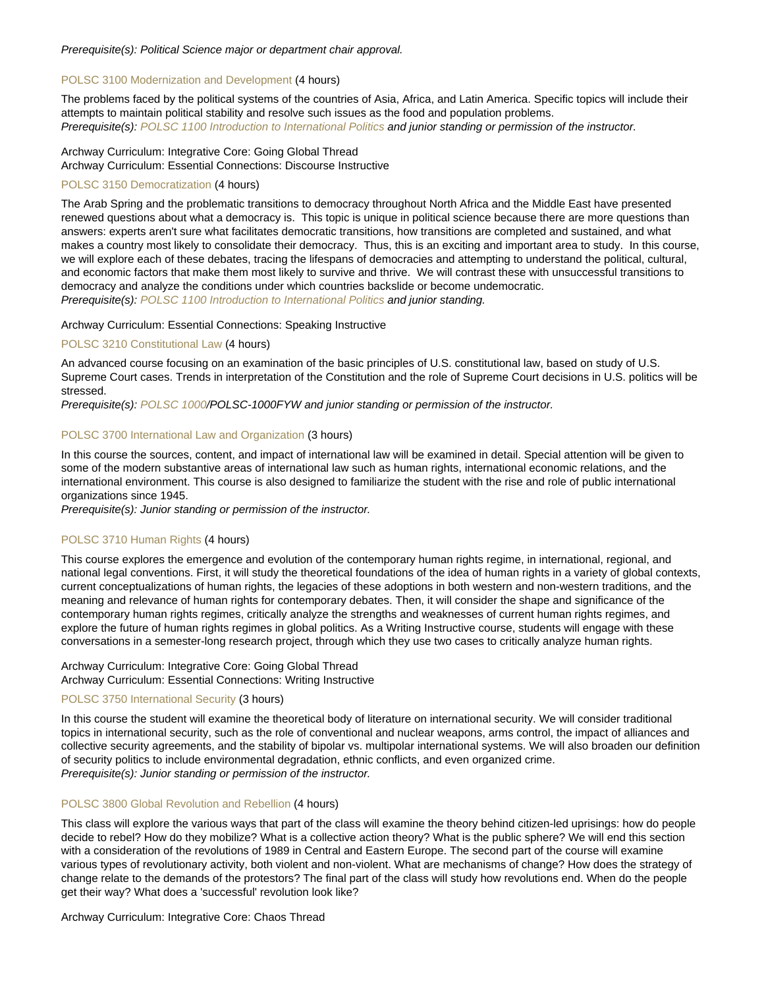Prerequisite(s): Political Science major or department chair approval.

#### [POLSC 3100 Modernization and Development](https://catalog.nebrwesleyan.edu/node/328007) (4 hours)

The problems faced by the political systems of the countries of Asia, Africa, and Latin America. Specific topics will include their attempts to maintain political stability and resolve such issues as the food and population problems. Prerequisite(s): [POLSC 1100 Introduction to International Politics](https://catalog.nebrwesleyan.edu/cc/2021-2022/course/362767) and junior standing or permission of the instructor.

# Archway Curriculum: Integrative Core: Going Global Thread Archway Curriculum: Essential Connections: Discourse Instructive

# [POLSC 3150 Democratization](https://catalog.nebrwesleyan.edu/node/328008) (4 hours)

The Arab Spring and the problematic transitions to democracy throughout North Africa and the Middle East have presented renewed questions about what a democracy is. This topic is unique in political science because there are more questions than answers: experts aren't sure what facilitates democratic transitions, how transitions are completed and sustained, and what makes a country most likely to consolidate their democracy. Thus, this is an exciting and important area to study. In this course, we will explore each of these debates, tracing the lifespans of democracies and attempting to understand the political, cultural, and economic factors that make them most likely to survive and thrive. We will contrast these with unsuccessful transitions to democracy and analyze the conditions under which countries backslide or become undemocratic. Prerequisite(s): [POLSC 1100 Introduction to International Politics](https://catalog.nebrwesleyan.edu/cc/2021-2022/course/362767) and junior standing.

#### Archway Curriculum: Essential Connections: Speaking Instructive

#### [POLSC 3210 Constitutional Law](https://catalog.nebrwesleyan.edu/node/328009) (4 hours)

An advanced course focusing on an examination of the basic principles of U.S. constitutional law, based on study of U.S. Supreme Court cases. Trends in interpretation of the Constitution and the role of Supreme Court decisions in U.S. politics will be stressed.

Prerequisite(s): [POLSC 1000/](https://catalog.nebrwesleyan.edu/cc/2021-2022/course/360123)POLSC-1000FYW and junior standing or permission of the instructor.

#### [POLSC 3700 International Law and Organization](https://catalog.nebrwesleyan.edu/node/328010) (3 hours)

In this course the sources, content, and impact of international law will be examined in detail. Special attention will be given to some of the modern substantive areas of international law such as human rights, international economic relations, and the international environment. This course is also designed to familiarize the student with the rise and role of public international organizations since 1945.

Prerequisite(s): Junior standing or permission of the instructor.

## [POLSC 3710 Human Rights](https://catalog.nebrwesleyan.edu/node/330738) (4 hours)

This course explores the emergence and evolution of the contemporary human rights regime, in international, regional, and national legal conventions. First, it will study the theoretical foundations of the idea of human rights in a variety of global contexts, current conceptualizations of human rights, the legacies of these adoptions in both western and non-western traditions, and the meaning and relevance of human rights for contemporary debates. Then, it will consider the shape and significance of the contemporary human rights regimes, critically analyze the strengths and weaknesses of current human rights regimes, and explore the future of human rights regimes in global politics. As a Writing Instructive course, students will engage with these conversations in a semester-long research project, through which they use two cases to critically analyze human rights.

#### Archway Curriculum: Integrative Core: Going Global Thread Archway Curriculum: Essential Connections: Writing Instructive

# [POLSC 3750 International Security](https://catalog.nebrwesleyan.edu/node/328011) (3 hours)

In this course the student will examine the theoretical body of literature on international security. We will consider traditional topics in international security, such as the role of conventional and nuclear weapons, arms control, the impact of alliances and collective security agreements, and the stability of bipolar vs. multipolar international systems. We will also broaden our definition of security politics to include environmental degradation, ethnic conflicts, and even organized crime. Prerequisite(s): Junior standing or permission of the instructor.

# [POLSC 3800 Global Revolution and Rebellion](https://catalog.nebrwesleyan.edu/node/330739) (4 hours)

This class will explore the various ways that part of the class will examine the theory behind citizen-led uprisings: how do people decide to rebel? How do they mobilize? What is a collective action theory? What is the public sphere? We will end this section with a consideration of the revolutions of 1989 in Central and Eastern Europe. The second part of the course will examine various types of revolutionary activity, both violent and non-violent. What are mechanisms of change? How does the strategy of change relate to the demands of the protestors? The final part of the class will study how revolutions end. When do the people get their way? What does a 'successful' revolution look like?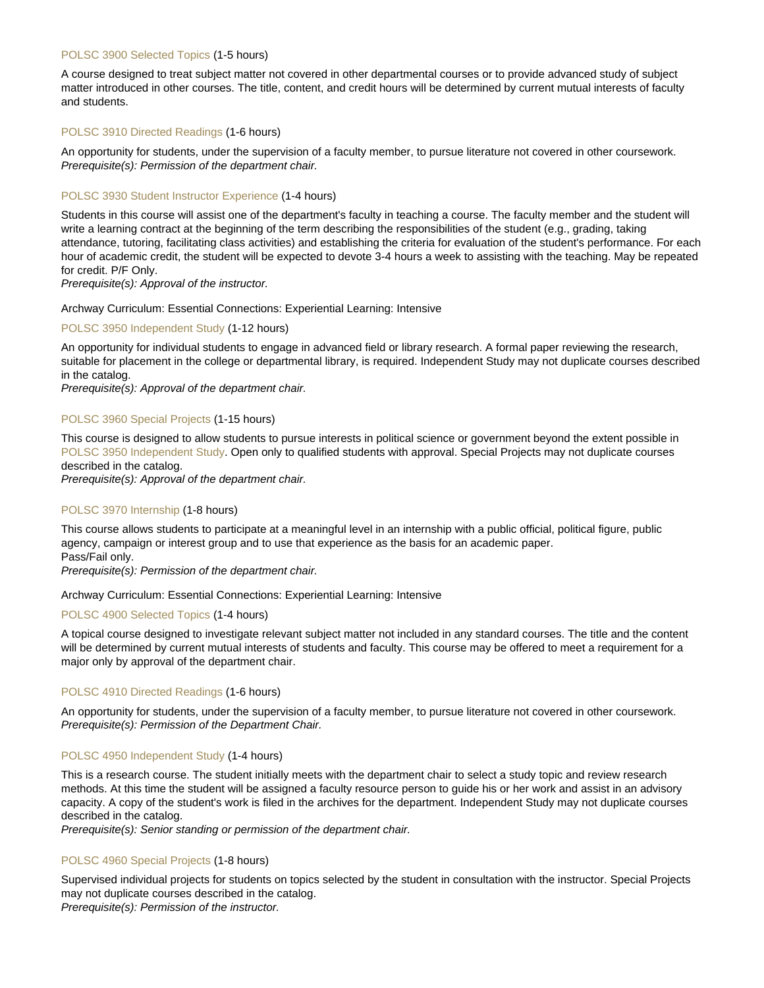#### [POLSC 3900 Selected Topics](https://catalog.nebrwesleyan.edu/node/328012) (1-5 hours)

A course designed to treat subject matter not covered in other departmental courses or to provide advanced study of subject matter introduced in other courses. The title, content, and credit hours will be determined by current mutual interests of faculty and students.

#### [POLSC 3910 Directed Readings](https://catalog.nebrwesleyan.edu/node/328013) (1-6 hours)

An opportunity for students, under the supervision of a faculty member, to pursue literature not covered in other coursework. Prerequisite(s): Permission of the department chair.

#### [POLSC 3930 Student Instructor Experience](https://catalog.nebrwesleyan.edu/node/331105) (1-4 hours)

Students in this course will assist one of the department's faculty in teaching a course. The faculty member and the student will write a learning contract at the beginning of the term describing the responsibilities of the student (e.g., grading, taking attendance, tutoring, facilitating class activities) and establishing the criteria for evaluation of the student's performance. For each hour of academic credit, the student will be expected to devote 3-4 hours a week to assisting with the teaching. May be repeated for credit. P/F Only.

Prerequisite(s): Approval of the instructor.

#### Archway Curriculum: Essential Connections: Experiential Learning: Intensive

#### [POLSC 3950 Independent Study](https://catalog.nebrwesleyan.edu/node/328014) (1-12 hours)

An opportunity for individual students to engage in advanced field or library research. A formal paper reviewing the research, suitable for placement in the college or departmental library, is required. Independent Study may not duplicate courses described in the catalog.

Prerequisite(s): Approval of the department chair.

#### [POLSC 3960 Special Projects](https://catalog.nebrwesleyan.edu/node/328015) (1-15 hours)

This course is designed to allow students to pursue interests in political science or government beyond the extent possible in [POLSC 3950 Independent Study](https://catalog.nebrwesleyan.edu/cc/2021-2022/course/360151). Open only to qualified students with approval. Special Projects may not duplicate courses described in the catalog.

Prerequisite(s): Approval of the department chair.

#### [POLSC 3970 Internship](https://catalog.nebrwesleyan.edu/node/329466) (1-8 hours)

This course allows students to participate at a meaningful level in an internship with a public official, political figure, public agency, campaign or interest group and to use that experience as the basis for an academic paper. Pass/Fail only.

Prerequisite(s): Permission of the department chair.

Archway Curriculum: Essential Connections: Experiential Learning: Intensive

#### [POLSC 4900 Selected Topics](https://catalog.nebrwesleyan.edu/node/329467) (1-4 hours)

A topical course designed to investigate relevant subject matter not included in any standard courses. The title and the content will be determined by current mutual interests of students and faculty. This course may be offered to meet a requirement for a major only by approval of the department chair.

#### [POLSC 4910 Directed Readings](https://catalog.nebrwesleyan.edu/node/329468) (1-6 hours)

An opportunity for students, under the supervision of a faculty member, to pursue literature not covered in other coursework. Prerequisite(s): Permission of the Department Chair.

#### [POLSC 4950 Independent Study](https://catalog.nebrwesleyan.edu/node/329469) (1-4 hours)

This is a research course. The student initially meets with the department chair to select a study topic and review research methods. At this time the student will be assigned a faculty resource person to guide his or her work and assist in an advisory capacity. A copy of the student's work is filed in the archives for the department. Independent Study may not duplicate courses described in the catalog.

Prerequisite(s): Senior standing or permission of the department chair.

#### [POLSC 4960 Special Projects](https://catalog.nebrwesleyan.edu/node/329470) (1-8 hours)

Supervised individual projects for students on topics selected by the student in consultation with the instructor. Special Projects may not duplicate courses described in the catalog.

Prerequisite(s): Permission of the instructor.